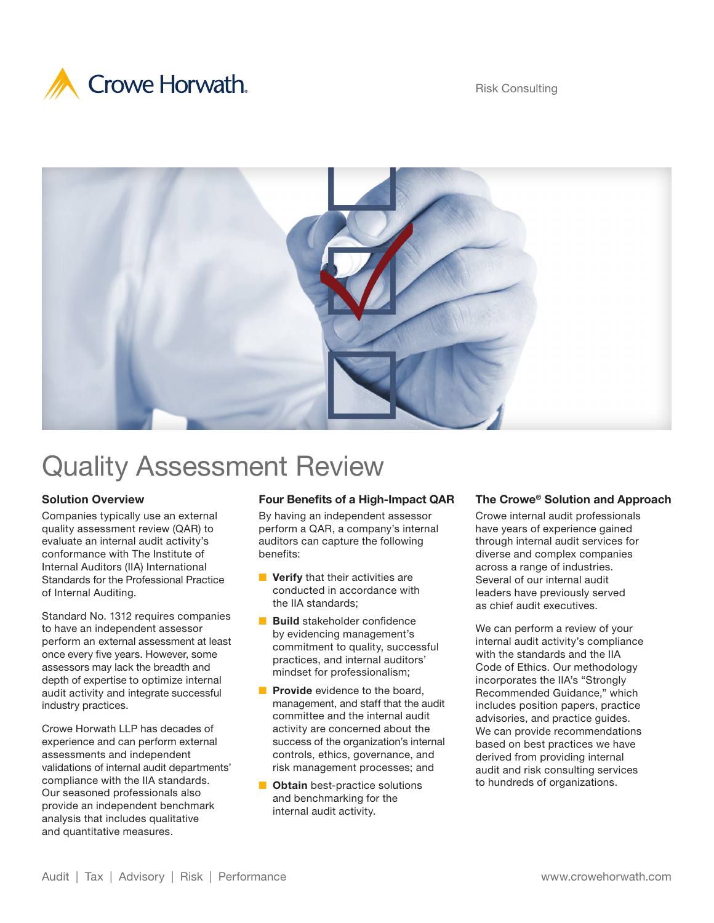



# Quality Assessment Review

### Solution Overview

Companies typically use an external quality assessment review (QAR) to evaluate an internal audit activity's conformance with The Institute of Internal Auditors (IIA) International Standards for the Professional Practice of Internal Auditing.

Standard No. 1312 requires companies to have an independent assessor perform an external assessment at least once every five years. However, some assessors may lack the breadth and depth of expertise to optimize internal audit activity and integrate successful industry practices.

Crowe Horwath LLP has decades of experience and can perform external assessments and independent validations of internal audit departments' compliance with the IIA standards. Our seasoned professionals also provide an independent benchmark analysis that includes qualitative and quantitative measures.

### Four Benefits of a High-Impact QAR

By having an independent assessor perform a QAR, a company's internal auditors can capture the following benefits:

- Verify that their activities are conducted in accordance with the IIA standards;
- Build stakeholder confidence by evidencing management's commitment to quality, successful practices, and internal auditors' mindset for professionalism;
- Provide evidence to the board, management, and staff that the audit committee and the internal audit activity are concerned about the success of the organization's internal controls, ethics, governance, and risk management processes; and
- Obtain best-practice solutions and benchmarking for the internal audit activity.

### The Crowe® Solution and Approach

Crowe internal audit professionals have years of experience gained through internal audit services for diverse and complex companies across a range of industries. Several of our internal audit leaders have previously served as chief audit executives.

We can perform a review of your internal audit activity's compliance with the standards and the IIA Code of Ethics. Our methodology incorporates the IIA's "Strongly Recommended Guidance," which includes position papers, practice advisories, and practice guides. We can provide recommendations based on best practices we have derived from providing internal audit and risk consulting services to hundreds of organizations.